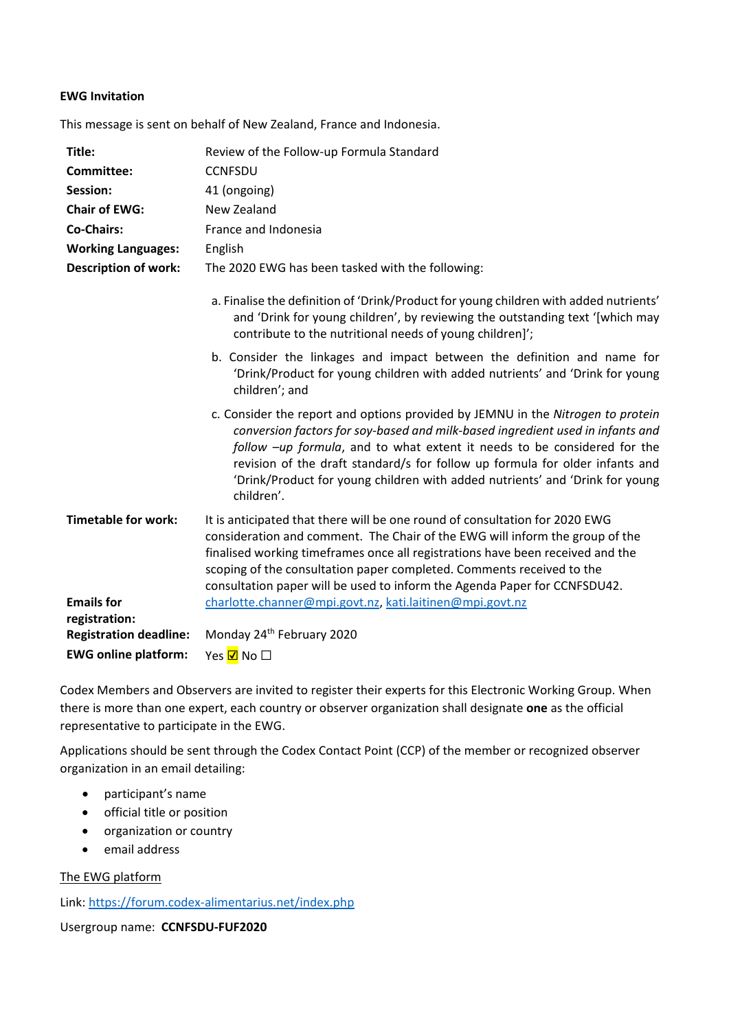## **EWG Invitation**

This message is sent on behalf of New Zealand, France and Indonesia.

| Title:                             | Review of the Follow-up Formula Standard                                                                                                                                                                                                                                                                                                                                                                                    |
|------------------------------------|-----------------------------------------------------------------------------------------------------------------------------------------------------------------------------------------------------------------------------------------------------------------------------------------------------------------------------------------------------------------------------------------------------------------------------|
| Committee:                         | <b>CCNFSDU</b>                                                                                                                                                                                                                                                                                                                                                                                                              |
| Session:                           | 41 (ongoing)                                                                                                                                                                                                                                                                                                                                                                                                                |
| <b>Chair of EWG:</b>               | New Zealand                                                                                                                                                                                                                                                                                                                                                                                                                 |
| <b>Co-Chairs:</b>                  | France and Indonesia                                                                                                                                                                                                                                                                                                                                                                                                        |
| <b>Working Languages:</b>          | English                                                                                                                                                                                                                                                                                                                                                                                                                     |
| <b>Description of work:</b>        | The 2020 EWG has been tasked with the following:                                                                                                                                                                                                                                                                                                                                                                            |
|                                    | a. Finalise the definition of 'Drink/Product for young children with added nutrients'<br>and 'Drink for young children', by reviewing the outstanding text '[which may<br>contribute to the nutritional needs of young children]';                                                                                                                                                                                          |
|                                    | b. Consider the linkages and impact between the definition and name for<br>'Drink/Product for young children with added nutrients' and 'Drink for young<br>children'; and                                                                                                                                                                                                                                                   |
|                                    | c. Consider the report and options provided by JEMNU in the Nitrogen to protein<br>conversion factors for soy-based and milk-based ingredient used in infants and<br>follow -up formula, and to what extent it needs to be considered for the<br>revision of the draft standard/s for follow up formula for older infants and<br>'Drink/Product for young children with added nutrients' and 'Drink for young<br>children'. |
| <b>Timetable for work:</b>         | It is anticipated that there will be one round of consultation for 2020 EWG<br>consideration and comment. The Chair of the EWG will inform the group of the<br>finalised working timeframes once all registrations have been received and the<br>scoping of the consultation paper completed. Comments received to the<br>consultation paper will be used to inform the Agenda Paper for CCNFSDU42.                         |
| <b>Emails for</b><br>registration: | charlotte.channer@mpi.govt.nz, kati.laitinen@mpi.govt.nz                                                                                                                                                                                                                                                                                                                                                                    |
| <b>Registration deadline:</b>      | Monday 24 <sup>th</sup> February 2020                                                                                                                                                                                                                                                                                                                                                                                       |
| <b>EWG online platform:</b>        | Yes <mark>☑</mark> No □                                                                                                                                                                                                                                                                                                                                                                                                     |

Codex Members and Observers are invited to register their experts for this Electronic Working Group. When there is more than one expert, each country or observer organization shall designate **one** as the official representative to participate in the EWG.

Applications should be sent through the Codex Contact Point (CCP) of the member or recognized observer organization in an email detailing:

- participant's name
- official title or position
- organization or country
- email address

The EWG platform

Link:<https://forum.codex-alimentarius.net/index.php>

Usergroup name: **CCNFSDU-FUF2020**